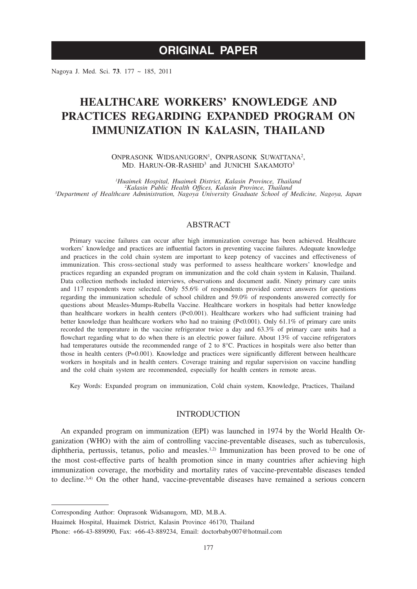# **ORIGINAL PAPER**

Nagoya J. Med. Sci. **73**. 177 ~ 185, 2011

# **HEALTHCARE WORKERS' KNOWLEDGE AND PRACTICES REGARDING EXPANDED PROGRAM ON IMMUNIZATION IN KALASIN, THAILAND**

ONPRASONK WIDSANUGORN<sup>1</sup>, ONPRASONK SUWATTANA<sup>2</sup>, MD. HARUN-OR-RASHID<sup>3</sup> and JUNICHI SAKAMOTO<sup>3</sup>

*1 Huaimek Hospital, Huaimek District, Kalasin Province, Thailand <sup>2</sup> Kalasin Public Health Offices, Kalasin Province, Thailand <sup>3</sup> Department of Healthcare Administration, Nagoya University Graduate School of Medicine, Nagoya, Japan*

# ABSTRACT

Primary vaccine failures can occur after high immunization coverage has been achieved. Healthcare workers' knowledge and practices are influential factors in preventing vaccine failures. Adequate knowledge and practices in the cold chain system are important to keep potency of vaccines and effectiveness of immunization. This cross-sectional study was performed to assess healthcare workers' knowledge and practices regarding an expanded program on immunization and the cold chain system in Kalasin, Thailand. Data collection methods included interviews, observations and document audit. Ninety primary care units and 117 respondents were selected. Only 55.6% of respondents provided correct answers for questions regarding the immunization schedule of school children and 59.0% of respondents answered correctly for questions about Measles-Mumps-Rubella Vaccine. Healthcare workers in hospitals had better knowledge than healthcare workers in health centers (P<0.001). Healthcare workers who had sufficient training had better knowledge than healthcare workers who had no training (P<0.001). Only 61.1% of primary care units recorded the temperature in the vaccine refrigerator twice a day and 63.3% of primary care units had a flowchart regarding what to do when there is an electric power failure. About 13% of vaccine refrigerators had temperatures outside the recommended range of 2 to 8°C. Practices in hospitals were also better than those in health centers (P=0.001). Knowledge and practices were significantly different between healthcare workers in hospitals and in health centers. Coverage training and regular supervision on vaccine handling and the cold chain system are recommended, especially for health centers in remote areas.

Key Words: Expanded program on immunization, Cold chain system, Knowledge, Practices, Thailand

## INTRODUCTION

An expanded program on immunization (EPI) was launched in 1974 by the World Health Organization (WHO) with the aim of controlling vaccine-preventable diseases, such as tuberculosis, diphtheria, pertussis, tetanus, polio and measles.<sup>1,2)</sup> Immunization has been proved to be one of the most cost-effective parts of health promotion since in many countries after achieving high immunization coverage, the morbidity and mortality rates of vaccine-preventable diseases tended to decline. $3,4$ ) On the other hand, vaccine-preventable diseases have remained a serious concern

Huaimek Hospital, Huaimek District, Kalasin Province 46170, Thailand

Corresponding Author: Onprasonk Widsanugorn, MD, M.B.A.

Phone: +66-43-889090, Fax: +66-43-889234, Email: doctorbaby007@hotmail.com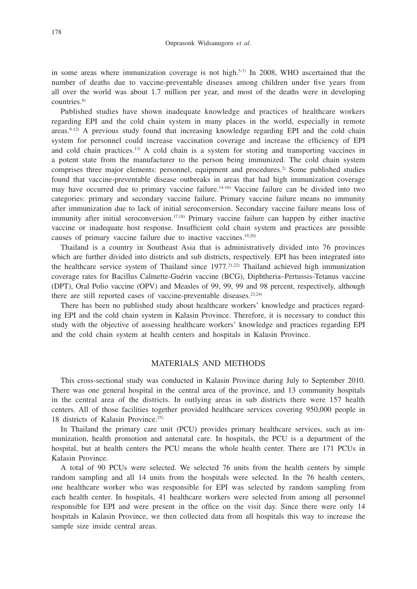in some areas where immunization coverage is not high.<sup>5-7)</sup> In 2008, WHO ascertained that the number of deaths due to vaccine-preventable diseases among children under five years from all over the world was about 1.7 million per year, and most of the deaths were in developing countries.8)

Published studies have shown inadequate knowledge and practices of healthcare workers regarding EPI and the cold chain system in many places in the world, especially in remote areas.<sup>9-12)</sup> A previous study found that increasing knowledge regarding EPI and the cold chain system for personnel could increase vaccination coverage and increase the efficiency of EPI and cold chain practices.<sup>13)</sup> A cold chain is a system for storing and transporting vaccines in a potent state from the manufacturer to the person being immunized. The cold chain system comprises three major elements: personnel, equipment and procedures.<sup>2)</sup> Some published studies found that vaccine-preventable disease outbreaks in areas that had high immunization coverage may have occurred due to primary vaccine failure.14-16) Vaccine failure can be divided into two categories: primary and secondary vaccine failure. Primary vaccine failure means no immunity after immunization due to lack of initial seroconversion. Secondary vaccine failure means loss of immunity after initial seroconversion.<sup>17,18)</sup> Primary vaccine failure can happen by either inactive vaccine or inadequate host response. Insufficient cold chain system and practices are possible causes of primary vaccine failure due to inactive vaccines.19,20)

Thailand is a country in Southeast Asia that is administratively divided into 76 provinces which are further divided into districts and sub districts, respectively. EPI has been integrated into the healthcare service system of Thailand since  $1977$ <sup> $21,22$ </sup> Thailand achieved high immunization coverage rates for Bacillus Calmette-Guérin vaccine (BCG), Diphtheria–Pertussis-Tetanus vaccine (DPT), Oral Polio vaccine (OPV) and Measles of 99, 99, 99 and 98 percent, respectively, although there are still reported cases of vaccine-preventable diseases.23,24)

There has been no published study about healthcare workers' knowledge and practices regarding EPI and the cold chain system in Kalasin Province. Therefore, it is necessary to conduct this study with the objective of assessing healthcare workers' knowledge and practices regarding EPI and the cold chain system at health centers and hospitals in Kalasin Province.

### MATERIALS AND METHODS

This cross-sectional study was conducted in Kalasin Province during July to September 2010. There was one general hospital in the central area of the province, and 13 community hospitals in the central area of the districts. In outlying areas in sub districts there were 157 health centers. All of those facilities together provided healthcare services covering 950,000 people in 18 districts of Kalasin Province.25)

In Thailand the primary care unit (PCU) provides primary healthcare services, such as immunization, health promotion and antenatal care. In hospitals, the PCU is a department of the hospital, but at health centers the PCU means the whole health center. There are 171 PCUs in Kalasin Province.

A total of 90 PCUs were selected. We selected 76 units from the health centers by simple random sampling and all 14 units from the hospitals were selected. In the 76 health centers, one healthcare worker who was responsible for EPI was selected by random sampling from each health center. In hospitals, 41 healthcare workers were selected from among all personnel responsible for EPI and were present in the office on the visit day. Since there were only 14 hospitals in Kalasin Province, we then collected data from all hospitals this way to increase the sample size inside central areas.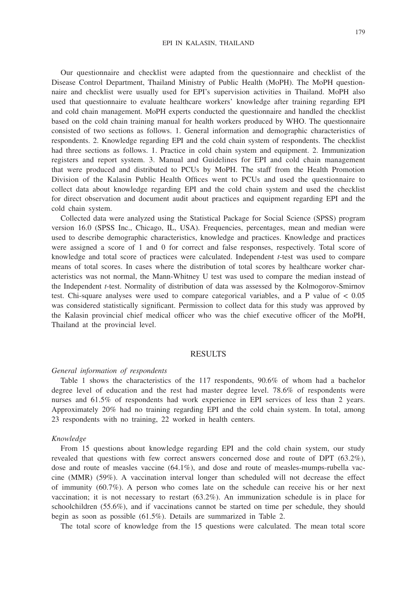Our questionnaire and checklist were adapted from the questionnaire and checklist of the Disease Control Department, Thailand Ministry of Public Health (MoPH). The MoPH questionnaire and checklist were usually used for EPI's supervision activities in Thailand. MoPH also used that questionnaire to evaluate healthcare workers' knowledge after training regarding EPI and cold chain management. MoPH experts conducted the questionnaire and handled the checklist based on the cold chain training manual for health workers produced by WHO. The questionnaire consisted of two sections as follows. 1. General information and demographic characteristics of respondents. 2. Knowledge regarding EPI and the cold chain system of respondents. The checklist had three sections as follows. 1. Practice in cold chain system and equipment. 2. Immunization registers and report system. 3. Manual and Guidelines for EPI and cold chain management that were produced and distributed to PCUs by MoPH. The staff from the Health Promotion Division of the Kalasin Public Health Offices went to PCUs and used the questionnaire to collect data about knowledge regarding EPI and the cold chain system and used the checklist for direct observation and document audit about practices and equipment regarding EPI and the cold chain system.

Collected data were analyzed using the Statistical Package for Social Science (SPSS) program version 16.0 (SPSS Inc., Chicago, IL, USA). Frequencies, percentages, mean and median were used to describe demographic characteristics, knowledge and practices. Knowledge and practices were assigned a score of 1 and 0 for correct and false responses, respectively. Total score of knowledge and total score of practices were calculated. Independent *t*-test was used to compare means of total scores. In cases where the distribution of total scores by healthcare worker characteristics was not normal, the Mann-Whitney U test was used to compare the median instead of the Independent *t*-test. Normality of distribution of data was assessed by the Kolmogorov-Smirnov test. Chi-square analyses were used to compare categorical variables, and a P value of < 0.05 was considered statistically significant. Permission to collect data for this study was approved by the Kalasin provincial chief medical officer who was the chief executive officer of the MoPH, Thailand at the provincial level.

### RESULTS

#### *General information of respondents*

Table 1 shows the characteristics of the 117 respondents, 90.6% of whom had a bachelor degree level of education and the rest had master degree level. 78.6% of respondents were nurses and 61.5% of respondents had work experience in EPI services of less than 2 years. Approximately 20% had no training regarding EPI and the cold chain system. In total, among 23 respondents with no training, 22 worked in health centers.

#### *Knowledge*

From 15 questions about knowledge regarding EPI and the cold chain system, our study revealed that questions with few correct answers concerned dose and route of DPT (63.2%), dose and route of measles vaccine (64.1%), and dose and route of measles-mumps-rubella vaccine (MMR) (59%). A vaccination interval longer than scheduled will not decrease the effect of immunity (60.7%). A person who comes late on the schedule can receive his or her next vaccination; it is not necessary to restart (63.2%). An immunization schedule is in place for schoolchildren (55.6%), and if vaccinations cannot be started on time per schedule, they should begin as soon as possible (61.5%). Details are summarized in Table 2.

The total score of knowledge from the 15 questions were calculated. The mean total score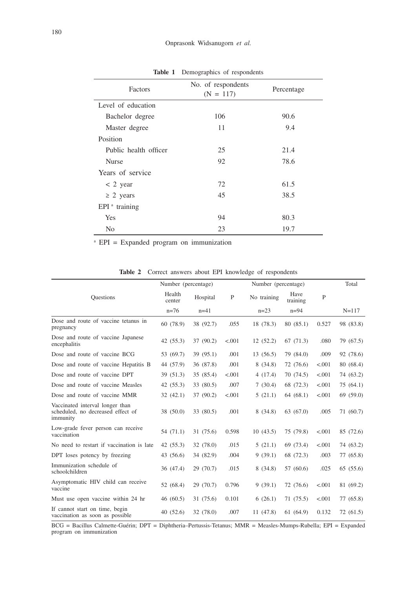| Factors               | No. of respondents<br>$(N = 117)$ | Percentage |
|-----------------------|-----------------------------------|------------|
| Level of education    |                                   |            |
| Bachelor degree       | 106                               | 90.6       |
| Master degree         | 11                                | 9.4        |
| Position              |                                   |            |
| Public health officer | 25                                | 21.4       |
| <b>Nurse</b>          | 92                                | 78.6       |
| Years of service      |                                   |            |
| $< 2$ year            | 72                                | 61.5       |
| $\geq 2$ years        | 45                                | 38.5       |
| $EPI^a$ training      |                                   |            |
| Yes                   | 94                                | 80.3       |
| N <sub>0</sub>        | 23                                | 19.7       |

**Table 1** Demographics of respondents

a EPI = Expanded program on immunization

|  |  |  | <b>Table 2</b> Correct answers about EPI knowledge of respondents |
|--|--|--|-------------------------------------------------------------------|
|  |  |  |                                                                   |

|                                                                                  | Number (percentage) |           | Number (percentage) |             |                  |         | Total     |
|----------------------------------------------------------------------------------|---------------------|-----------|---------------------|-------------|------------------|---------|-----------|
| <b>Ouestions</b>                                                                 | Health<br>center    | Hospital  | P                   | No training | Have<br>training | P       |           |
|                                                                                  | $n=76$              | $n=41$    |                     | $n=23$      | $n=94$           |         | $N = 117$ |
| Dose and route of vaccine tetanus in<br>pregnancy                                | 60 (78.9)           | 38 (92.7) | .055                | 18 (78.3)   | 80 (85.1)        | 0.527   | 98 (83.8) |
| Dose and route of vaccine Japanese<br>encephalitis                               | 42(55.3)            | 37 (90.2) | < .001              | 12(52.2)    | 67(71.3)         | .080    | 79 (67.5) |
| Dose and route of vaccine BCG                                                    | 53 (69.7)           | 39 (95.1) | .001                | 13(56.5)    | 79 (84.0)        | .009    | 92 (78.6) |
| Dose and route of vaccine Hepatitis B                                            | 44 (57.9)           | 36 (87.8) | .001                | 8(34.8)     | 72 (76.6)        | < .001  | 80 (68.4) |
| Dose and route of vaccine DPT                                                    | 39 (51.3)           | 35 (85.4) | < .001              | 4(17.4)     | 70(74.5)         | < .001  | 74 (63.2) |
| Dose and route of vaccine Measles                                                | 42(55.3)            | 33 (80.5) | .007                | 7(30.4)     | 68 (72.3)        | < 0.001 | 75 (64.1) |
| Dose and route of vaccine MMR                                                    | 32(42.1)            | 37 (90.2) | < .001              | 5(21.1)     | 64 (68.1)        | < 0.001 | 69(59.0)  |
| Vaccinated interval longer than<br>scheduled, no decreased effect of<br>immunity | 38 (50.0)           | 33 (80.5) | .001                | 8(34.8)     | 63(67.0)         | .005    | 71 (60.7) |
| Low-grade fever person can receive<br>vaccination                                | 54(71.1)            | 31 (75.6) | 0.598               | 10(43.5)    | 75 (79.8)        | < .001  | 85 (72.6) |
| No need to restart if vaccination is late                                        | 42(55.3)            | 32 (78.0) | .015                | 5(21.1)     | 69 (73.4)        | < .001  | 74 (63.2) |
| DPT loses potency by freezing                                                    | 43 (56.6)           | 34 (82.9) | .004                | 9(39.1)     | 68 (72.3)        | .003    | 77 (65.8) |
| Immunization schedule of<br>schoolchildren                                       | 36 (47.4)           | 29(70.7)  | .015                | 8(34.8)     | 57 (60.6)        | .025    | 65 (55.6) |
| Asymptomatic HIV child can receive<br>vaccine                                    | 52 (68.4)           | 29 (70.7) | 0.796               | 9(39.1)     | 72 (76.6)        | < .001  | 81 (69.2) |
| Must use open vaccine within 24 hr                                               | 46(60.5)            | 31 (75.6) | 0.101               | 6(26.1)     | 71(75.5)         | < .001  | 77 (65.8) |
| If cannot start on time, begin<br>vaccination as soon as possible                | 40(52.6)            | 32 (78.0) | .007                | 11(47.8)    | 61 (64.9)        | 0.132   | 72 (61.5) |

BCG = Bacillus Calmette-Guérin; DPT = Diphtheria–Pertussis-Tetanus; MMR = Measles-Mumps-Rubella; EPI = Expanded program on immunization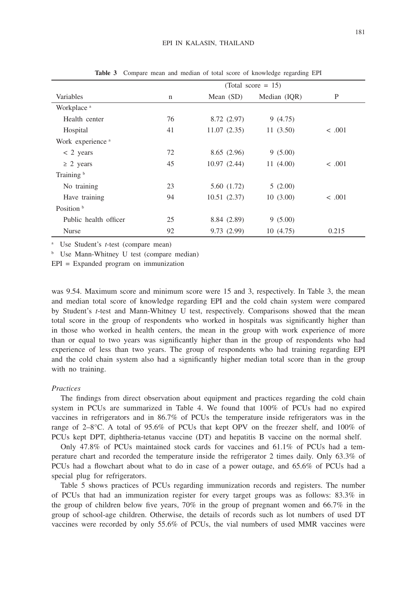|                        | (Total score $= 15$ ) |             |              |             |  |  |
|------------------------|-----------------------|-------------|--------------|-------------|--|--|
| Variables              | n                     | Mean $(SD)$ | Median (IOR) | P           |  |  |
| Workplace <sup>a</sup> |                       |             |              |             |  |  |
| Health center          | 76                    | 8.72 (2.97) | 9(4.75)      |             |  |  |
| Hospital               | 41                    | 11.07(2.35) | 11(3.50)     | $\leq .001$ |  |  |
| Work experience a      |                       |             |              |             |  |  |
| $< 2$ years            | 72                    | 8.65(2.96)  | 9(5.00)      |             |  |  |
| $\geq$ 2 years         | 45                    | 10.97(2.44) | 11(4.00)     | < .001      |  |  |
| Training <sup>b</sup>  |                       |             |              |             |  |  |
| No training            | 23                    | 5.60 (1.72) | 5(2.00)      |             |  |  |
| Have training          | 94                    | 10.51(2.37) | 10(3.00)     | $\leq .001$ |  |  |
| Position <sup>b</sup>  |                       |             |              |             |  |  |
| Public health officer  | 25                    | 8.84 (2.89) | 9(5.00)      |             |  |  |
| <b>Nurse</b>           | 92                    | 9.73(2.99)  | 10(4.75)     | 0.215       |  |  |

**Table 3** Compare mean and median of total score of knowledge regarding EPI

a Use Student's *t*-test (compare mean)

<sup>b</sup> Use Mann-Whitney U test (compare median)

EPI = Expanded program on immunization

was 9.54. Maximum score and minimum score were 15 and 3, respectively. In Table 3, the mean and median total score of knowledge regarding EPI and the cold chain system were compared by Student's *t*-test and Mann-Whitney U test, respectively. Comparisons showed that the mean total score in the group of respondents who worked in hospitals was significantly higher than in those who worked in health centers, the mean in the group with work experience of more than or equal to two years was significantly higher than in the group of respondents who had experience of less than two years. The group of respondents who had training regarding EPI and the cold chain system also had a significantly higher median total score than in the group with no training.

#### *Practices*

The findings from direct observation about equipment and practices regarding the cold chain system in PCUs are summarized in Table 4. We found that 100% of PCUs had no expired vaccines in refrigerators and in 86.7% of PCUs the temperature inside refrigerators was in the range of  $2-8$ °C. A total of 95.6% of PCUs that kept OPV on the freezer shelf, and 100% of PCUs kept DPT, diphtheria-tetanus vaccine (DT) and hepatitis B vaccine on the normal shelf.

Only 47.8% of PCUs maintained stock cards for vaccines and 61.1% of PCUs had a temperature chart and recorded the temperature inside the refrigerator 2 times daily. Only 63.3% of PCUs had a flowchart about what to do in case of a power outage, and 65.6% of PCUs had a special plug for refrigerators.

Table 5 shows practices of PCUs regarding immunization records and registers. The number of PCUs that had an immunization register for every target groups was as follows: 83.3% in the group of children below five years, 70% in the group of pregnant women and 66.7% in the group of school-age children. Otherwise, the details of records such as lot numbers of used DT vaccines were recorded by only 55.6% of PCUs, the vial numbers of used MMR vaccines were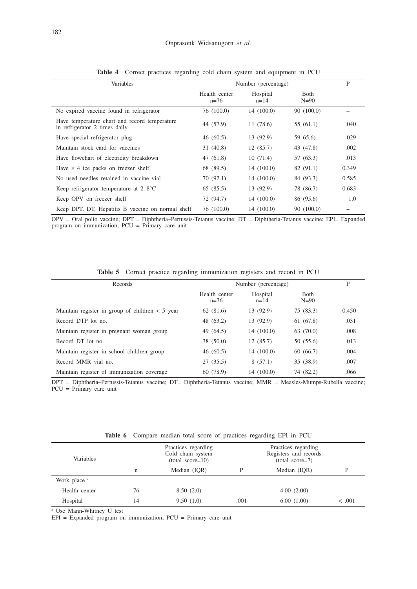| Variables                                                                      | Number (percentage)     | P                  |                        |       |
|--------------------------------------------------------------------------------|-------------------------|--------------------|------------------------|-------|
|                                                                                | Health center<br>$n=76$ | Hospital<br>$n=14$ | <b>B</b> oth<br>$N=90$ |       |
| No expired vaccine found in refrigerator                                       | 76 (100.0)              | 14(100.0)          | 90 (100.0)             |       |
| Have temperature chart and record temperature<br>in refrigerator 2 times daily | 44 (57.9)               | 11(78.6)           | 55(61.1)               | .040  |
| Have special refrigerator plug                                                 | 46(60.5)                | 13 (92.9)          | 59 65.6)               | .029  |
| Maintain stock card for vaccines                                               | 31(40.8)                | 12(85.7)           | 43 (47.8)              | .002  |
| Have flowchart of electricity breakdown                                        | 47 (61.8)               | 10(71.4)           | 57 (63.3)              | .013  |
| Have $\geq 4$ ice packs on freezer shelf                                       | 68 (89.5)               | 14(100.0)          | 82(91.1)               | 0.349 |
| No used needles retained in vaccine vial                                       | 70(92.1)                | 14(100.0)          | 84 (93.3)              | 0.585 |
| Keep refrigerator temperature at $2-8$ <sup>o</sup> C                          | 65(85.5)                | 13 (92.9)          | 78 (86.7)              | 0.683 |
| Keep OPV on freezer shelf                                                      | 72 (94.7)               | 14(100.0)          | 86 (95.6)              | 1.0   |
| Keep DPT, DT, Hepatitis B vaccine on normal shelf                              | 76 (100.0)              | 14(100.0)          | 90 (100.0)             |       |

**Table 4** Correct practices regarding cold chain system and equipment in PCU

OPV = Oral polio vaccine; DPT = Diphtheria–Pertussis-Tetanus vaccine; DT = Diphtheria-Tetanus vaccine; EPI= Expanded program on immunization; PCU = Primary care unit

|  |  |  |  | <b>Table 5</b> Correct practice regarding immunization registers and record in PCU |  |  |  |  |  |
|--|--|--|--|------------------------------------------------------------------------------------|--|--|--|--|--|
|--|--|--|--|------------------------------------------------------------------------------------|--|--|--|--|--|

| Records                                           | Number (percentage)     | P                    |                         |       |
|---------------------------------------------------|-------------------------|----------------------|-------------------------|-------|
|                                                   | Health center<br>$n=76$ | Hospital<br>$n = 14$ | <b>Both</b><br>$N = 90$ |       |
| Maintain register in group of children $< 5$ year | 62(81.6)                | 13(92.9)             | 75 (83.3)               | 0.450 |
| Record DTP lot no.                                | 48 (63.2)               | 13(92.9)             | 61 (67.8)               | .031  |
| Maintain register in pregnant woman group         | 49 (64.5)               | 14(100.0)            | 63 (70.0)               | .008  |
| Record DT lot no.                                 | 38 (50.0)               | 12(85.7)             | 50 (55.6)               | .013  |
| Maintain register in school children group        | 46(60.5)                | 14(100.0)            | 60(66.7)                | .004  |
| Record MMR vial no.                               | 27(35.5)                | 8(57.1)              | 35 (38.9)               | .007  |
| Maintain register of immunization coverage        | 60 (78.9)               | 14(100.0)            | 74 (82.2)               | .066  |

DPT = Diphtheria–Pertussis-Tetanus vaccine; DT= Diphtheria-Tetanus vaccine; MMR = Measles-Mumps-Rubella vaccine; PCU = Primary care unit

| <b>Variables</b>        |    | Practices regarding<br>Cold chain system<br>$(total score=10)$ |      | Practices regarding<br>Registers and records<br>$(total score=7)$ |             |  |
|-------------------------|----|----------------------------------------------------------------|------|-------------------------------------------------------------------|-------------|--|
|                         | n  | Median (IOR)                                                   |      | Median (IOR)                                                      |             |  |
| Work place <sup>a</sup> |    |                                                                |      |                                                                   |             |  |
| Health center           | 76 | 8.50(2.0)                                                      |      | 4.00(2.00)                                                        |             |  |
| Hospital                | 14 | 9.50(1.0)                                                      | .001 | 6.00(1.00)                                                        | $\leq .001$ |  |

**Table 6** Compare median total score of practices regarding EPI in PCU

a Use Mann-Whitney U test

EPI = Expanded program on immunization; PCU = Primary care unit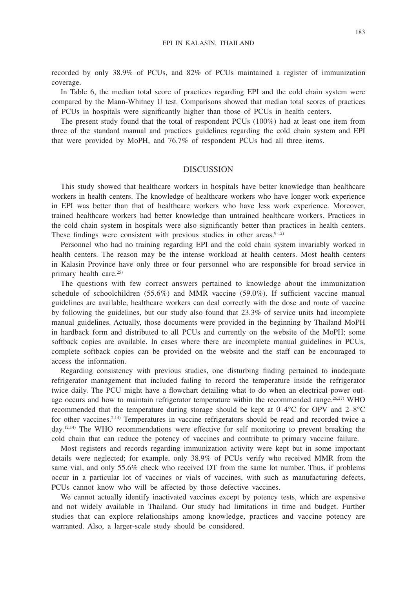recorded by only 38.9% of PCUs, and 82% of PCUs maintained a register of immunization coverage.

In Table 6, the median total score of practices regarding EPI and the cold chain system were compared by the Mann-Whitney U test. Comparisons showed that median total scores of practices of PCUs in hospitals were significantly higher than those of PCUs in health centers.

The present study found that the total of respondent PCUs (100%) had at least one item from three of the standard manual and practices guidelines regarding the cold chain system and EPI that were provided by MoPH, and 76.7% of respondent PCUs had all three items.

## **DISCUSSION**

This study showed that healthcare workers in hospitals have better knowledge than healthcare workers in health centers. The knowledge of healthcare workers who have longer work experience in EPI was better than that of healthcare workers who have less work experience. Moreover, trained healthcare workers had better knowledge than untrained healthcare workers. Practices in the cold chain system in hospitals were also significantly better than practices in health centers. These findings were consistent with previous studies in other areas. $9-12$ )

Personnel who had no training regarding EPI and the cold chain system invariably worked in health centers. The reason may be the intense workload at health centers. Most health centers in Kalasin Province have only three or four personnel who are responsible for broad service in primary health care.<sup>25)</sup>

The questions with few correct answers pertained to knowledge about the immunization schedule of schoolchildren (55.6%) and MMR vaccine (59.0%). If sufficient vaccine manual guidelines are available, healthcare workers can deal correctly with the dose and route of vaccine by following the guidelines, but our study also found that 23.3% of service units had incomplete manual guidelines. Actually, those documents were provided in the beginning by Thailand MoPH in hardback form and distributed to all PCUs and currently on the website of the MoPH; some softback copies are available. In cases where there are incomplete manual guidelines in PCUs, complete softback copies can be provided on the website and the staff can be encouraged to access the information.

Regarding consistency with previous studies, one disturbing finding pertained to inadequate refrigerator management that included failing to record the temperature inside the refrigerator twice daily. The PCU might have a flowchart detailing what to do when an electrical power outage occurs and how to maintain refrigerator temperature within the recommended range.<sup>26,27</sup> WHO recommended that the temperature during storage should be kept at 0–4°C for OPV and 2–8°C for other vaccines.<sup>2,14)</sup> Temperatures in vaccine refrigerators should be read and recorded twice a day.12,14) The WHO recommendations were effective for self monitoring to prevent breaking the cold chain that can reduce the potency of vaccines and contribute to primary vaccine failure.

Most registers and records regarding immunization activity were kept but in some important details were neglected; for example, only 38.9% of PCUs verify who received MMR from the same vial, and only 55.6% check who received DT from the same lot number. Thus, if problems occur in a particular lot of vaccines or vials of vaccines, with such as manufacturing defects, PCUs cannot know who will be affected by those defective vaccines.

We cannot actually identify inactivated vaccines except by potency tests, which are expensive and not widely available in Thailand. Our study had limitations in time and budget. Further studies that can explore relationships among knowledge, practices and vaccine potency are warranted. Also, a larger-scale study should be considered.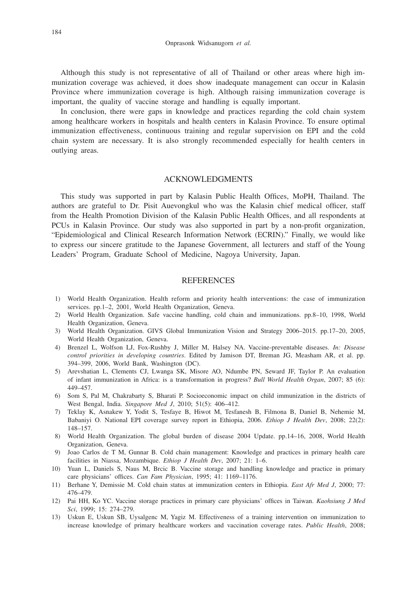Although this study is not representative of all of Thailand or other areas where high immunization coverage was achieved, it does show inadequate management can occur in Kalasin Province where immunization coverage is high. Although raising immunization coverage is important, the quality of vaccine storage and handling is equally important.

In conclusion, there were gaps in knowledge and practices regarding the cold chain system among healthcare workers in hospitals and health centers in Kalasin Province. To ensure optimal immunization effectiveness, continuous training and regular supervision on EPI and the cold chain system are necessary. It is also strongly recommended especially for health centers in outlying areas.

## ACKNOWLEDGMENTS

This study was supported in part by Kalasin Public Health Offices, MoPH, Thailand. The authors are grateful to Dr. Pisit Auevongkul who was the Kalasin chief medical officer, staff from the Health Promotion Division of the Kalasin Public Health Offices, and all respondents at PCUs in Kalasin Province. Our study was also supported in part by a non-profit organization, "Epidemiological and Clinical Research Information Network (ECRIN)." Finally, we would like to express our sincere gratitude to the Japanese Government, all lecturers and staff of the Young Leaders' Program, Graduate School of Medicine, Nagoya University, Japan.

## **REFERENCES**

- 1) World Health Organization. Health reform and priority health interventions: the case of immunization services. pp.1–2, 2001, World Health Organization, Geneva.
- 2) World Health Organization. Safe vaccine handling, cold chain and immunizations. pp.8–10, 1998, World Health Organization, Geneva.
- 3) World Health Organization. GIVS Global Immunization Vision and Strategy 2006–2015. pp.17–20, 2005, World Health Organization, Geneva.
- 4) Brenzel L, Wolfson LJ, Fox-Rushby J, Miller M, Halsey NA. Vaccine-preventable diseases. *In: Disease control priorities in developing countries*. Edited by Jamison DT, Breman JG, Measham AR, et al. pp. 394–399, 2006, World Bank, Washington (DC).
- 5) Arevshatian L, Clements CJ, Lwanga SK, Misore AO, Ndumbe PN, Seward JF, Taylor P. An evaluation of infant immunization in Africa: is a transformation in progress? *Bull World Health Organ*, 2007; 85 (6): 449–457.
- 6) Som S, Pal M, Chakrabarty S, Bharati P. Socioeconomic impact on child immunization in the districts of West Bengal, India. *Singapore Med J*, 2010; 51(5): 406–412.
- 7) Teklay K, Asnakew Y, Yodit S, Tesfaye B, Hiwot M, Tesfanesh B, Filmona B, Daniel B, Nehemie M, Babaniyi O. National EPI coverage survey report in Ethiopia, 2006. *Ethiop J Health Dev*, 2008; 22(2): 148–157.
- 8) World Health Organization. The global burden of disease 2004 Update. pp.14–16, 2008, World Health Organization, Geneva.
- 9) Joao Carlos de T M, Gunnar B. Cold chain management: Knowledge and practices in primary health care facilities in Niassa, Mozambique. *Ethiop J Health Dev*, 2007; 21: 1–6.
- 10) Yuan L, Daniels S, Naus M, Brcic B. Vaccine storage and handling knowledge and practice in primary care physicians' offices. *Can Fam Physician*, 1995; 41: 1169–1176.
- 11) Berhane Y, Demissie M. Cold chain status at immunization centers in Ethiopia. *East Afr Med J*, 2000; 77: 476–479.
- 12) Pai HH, Ko YC. Vaccine storage practices in primary care physicians' offices in Taiwan. *Kaohsiung J Med Sci*, 1999; 15: 274–279.
- 13) Uskun E, Uskun SB, Uysalgenc M, Yagiz M. Effectiveness of a training intervention on immunization to increase knowledge of primary healthcare workers and vaccination coverage rates. *Public Health*, 2008;